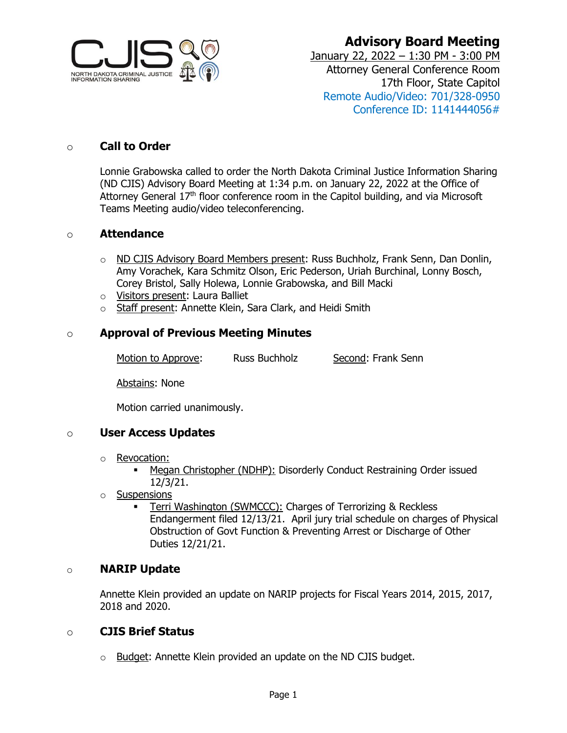

# **Advisory Board Meeting**

January 22, 2022 – 1:30 PM - 3:00 PM Attorney General Conference Room 17th Floor, State Capitol Remote Audio/Video: 701/328-0950 Conference ID: 1141444056#

### o **Call to Order**

Lonnie Grabowska called to order the North Dakota Criminal Justice Information Sharing (ND CJIS) Advisory Board Meeting at 1:34 p.m. on January 22, 2022 at the Office of Attorney General  $17<sup>th</sup>$  floor conference room in the Capitol building, and via Microsoft Teams Meeting audio/video teleconferencing.

#### o **Attendance**

- o ND CJIS Advisory Board Members present: Russ Buchholz, Frank Senn, Dan Donlin, Amy Vorachek, Kara Schmitz Olson, Eric Pederson, Uriah Burchinal, Lonny Bosch, Corey Bristol, Sally Holewa, Lonnie Grabowska, and Bill Macki
- o Visitors present: Laura Balliet
- o Staff present: Annette Klein, Sara Clark, and Heidi Smith

#### o **Approval of Previous Meeting Minutes**

Motion to Approve: Russ Buchholz Second: Frank Senn

Abstains: None

Motion carried unanimously.

#### o **User Access Updates**

- o **Revocation:** 
	- Megan Christopher (NDHP): Disorderly Conduct Restraining Order issued 12/3/21.
- o Suspensions
	- Terri Washington (SWMCCC): Charges of Terrorizing & Reckless Endangerment filed 12/13/21. April jury trial schedule on charges of Physical Obstruction of Govt Function & Preventing Arrest or Discharge of Other Duties 12/21/21.

#### o **NARIP Update**

Annette Klein provided an update on NARIP projects for Fiscal Years 2014, 2015, 2017, 2018 and 2020.

#### o **CJIS Brief Status**

o Budget: Annette Klein provided an update on the ND CJIS budget.